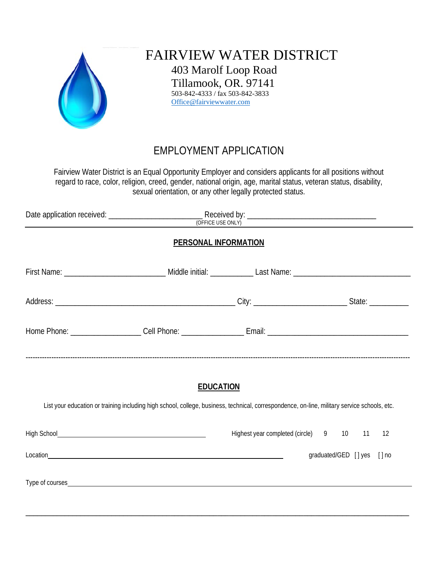

FAIRVIEW WATER DISTRICT 403 Marolf Loop Road Tillamook, OR. 97141 503-842-4333 / fax 503-842-3833 [Office@fairviewwater.com](mailto:Office@fairviewwater.com)

## EMPLOYMENT APPLICATION

Fairview Water District is an Equal Opportunity Employer and considers applicants for all positions without regard to race, color, religion, creed, gender, national origin, age, marital status, veteran status, disability, sexual orientation, or any other legally protected status.

| <b>PERSONAL INFORMATION</b>                                                                                                                  |  |                                            |                            |  |  |  |
|----------------------------------------------------------------------------------------------------------------------------------------------|--|--------------------------------------------|----------------------------|--|--|--|
|                                                                                                                                              |  |                                            |                            |  |  |  |
|                                                                                                                                              |  |                                            |                            |  |  |  |
|                                                                                                                                              |  |                                            |                            |  |  |  |
| <b>EDUCATION</b>                                                                                                                             |  |                                            |                            |  |  |  |
| List your education or training including high school, college, business, technical, correspondence, on-line, military service schools, etc. |  |                                            |                            |  |  |  |
|                                                                                                                                              |  | Highest year completed (circle) 9 10 11 12 |                            |  |  |  |
|                                                                                                                                              |  |                                            | graduated/GED [] yes [] no |  |  |  |
|                                                                                                                                              |  |                                            |                            |  |  |  |

\_\_\_\_\_\_\_\_\_\_\_\_\_\_\_\_\_\_\_\_\_\_\_\_\_\_\_\_\_\_\_\_\_\_\_\_\_\_\_\_\_\_\_\_\_\_\_\_\_\_\_\_\_\_\_\_\_\_\_\_\_\_\_\_\_\_\_\_\_\_\_\_\_\_\_\_\_\_\_\_\_\_\_\_\_\_\_\_\_\_\_\_\_\_\_\_\_\_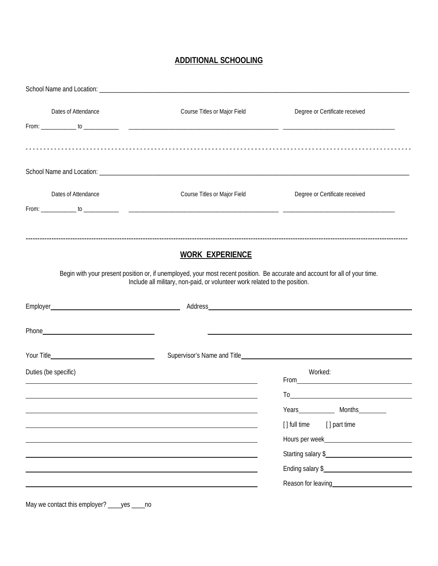## **ADDITIONAL SCHOOLING**

| Dates of Attendance  | Course Titles or Major Field                                                                                                                                                                               | Degree or Certificate received           |
|----------------------|------------------------------------------------------------------------------------------------------------------------------------------------------------------------------------------------------------|------------------------------------------|
| Dates of Attendance  | Course Titles or Major Field                                                                                                                                                                               | Degree or Certificate received           |
|                      |                                                                                                                                                                                                            |                                          |
|                      | <b>WORK EXPERIENCE</b>                                                                                                                                                                                     |                                          |
|                      | Begin with your present position or, if unemployed, your most recent position. Be accurate and account for all of your time.<br>Include all military, non-paid, or volunteer work related to the position. |                                          |
|                      |                                                                                                                                                                                                            |                                          |
|                      |                                                                                                                                                                                                            |                                          |
|                      |                                                                                                                                                                                                            |                                          |
|                      |                                                                                                                                                                                                            |                                          |
|                      |                                                                                                                                                                                                            | Worked:                                  |
|                      |                                                                                                                                                                                                            | From <u>Contract Communication</u><br>To |
|                      |                                                                                                                                                                                                            | Years Months                             |
|                      |                                                                                                                                                                                                            | [] part time<br>[] full time             |
|                      |                                                                                                                                                                                                            |                                          |
| Duties (be specific) |                                                                                                                                                                                                            | Starting salary \$                       |
|                      |                                                                                                                                                                                                            | Ending salary \$                         |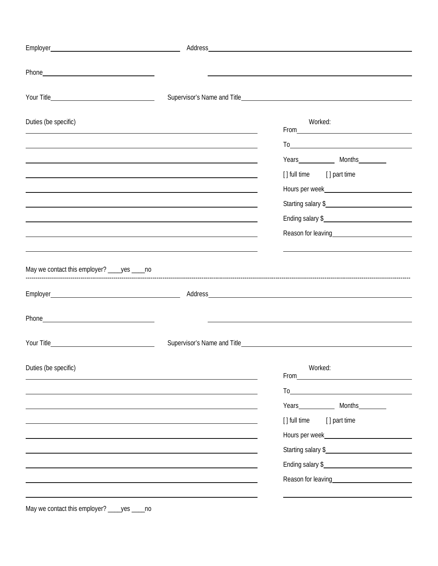| Duties (be specific)                            | Worked:                                                                                                                                                                                                                                                                                                 |
|-------------------------------------------------|---------------------------------------------------------------------------------------------------------------------------------------------------------------------------------------------------------------------------------------------------------------------------------------------------------|
|                                                 | $To \underline{\hspace{1cm}}$                                                                                                                                                                                                                                                                           |
|                                                 |                                                                                                                                                                                                                                                                                                         |
|                                                 | [] full time [] part time                                                                                                                                                                                                                                                                               |
|                                                 | Hours per week <b>here</b> week <b>and the set of the set of the set of the set of the set of the set of the set of the set of the set of the set of the set of the set of the set of the set of the set of the set of the set of the</b>                                                               |
|                                                 | Starting salary \$                                                                                                                                                                                                                                                                                      |
|                                                 | Ending salary \$                                                                                                                                                                                                                                                                                        |
|                                                 | Reason for leaving<br><u>example and the set of the set of the set of the set of the set of the set of the set of the set of the set of the set of the set of the set of the set of the set of the set of the set of the set of th</u>                                                                  |
|                                                 |                                                                                                                                                                                                                                                                                                         |
| May we contact this employer? ____ yes _____ no |                                                                                                                                                                                                                                                                                                         |
|                                                 |                                                                                                                                                                                                                                                                                                         |
|                                                 |                                                                                                                                                                                                                                                                                                         |
|                                                 |                                                                                                                                                                                                                                                                                                         |
|                                                 |                                                                                                                                                                                                                                                                                                         |
|                                                 | Supervisor's Name and Title <b>Example 2018</b> Supervisor's Name and Title                                                                                                                                                                                                                             |
|                                                 |                                                                                                                                                                                                                                                                                                         |
| Duties (be specific)                            | Worked:<br>From <u>service</u> and the service of the service of the service of the service of the service of the service of the service of the service of the service of the service of the service of the service of the service of the serv                                                          |
|                                                 | $To$ and $\overline{a}$ are the set of $\overline{a}$ and $\overline{a}$ are the set of $\overline{a}$ and $\overline{a}$ are the set of $\overline{a}$ and $\overline{a}$ are the set of $\overline{a}$ and $\overline{a}$ are the set of $\overline{a}$ and $\overline{a}$ are the set of $\overline$ |
|                                                 | Years Months                                                                                                                                                                                                                                                                                            |
|                                                 | [] full time [] part time                                                                                                                                                                                                                                                                               |
|                                                 |                                                                                                                                                                                                                                                                                                         |
|                                                 | Starting salary \$                                                                                                                                                                                                                                                                                      |
|                                                 | Ending salary \$                                                                                                                                                                                                                                                                                        |
|                                                 | Reason for leaving<br><u>example and the set of the set of the set of the set of the set of the set of the set of the set of the set of the set of the set of the set of the set of the set of the set of the set of the set of th</u>                                                                  |
|                                                 |                                                                                                                                                                                                                                                                                                         |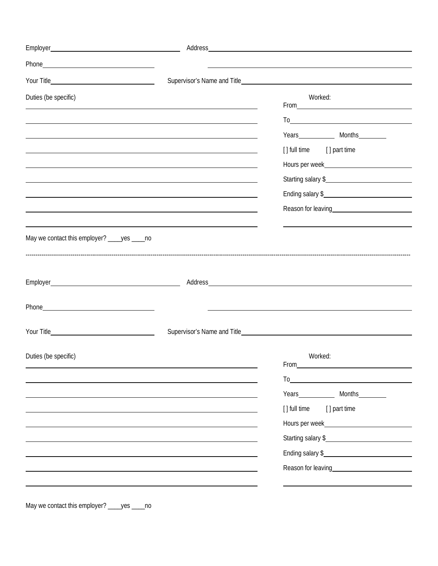| Duties (be specific)                                       |                                                                                                                  | Worked:                                                                                                                                                                                                                                                                                                                               |
|------------------------------------------------------------|------------------------------------------------------------------------------------------------------------------|---------------------------------------------------------------------------------------------------------------------------------------------------------------------------------------------------------------------------------------------------------------------------------------------------------------------------------------|
|                                                            | and the control of the control of the control of the control of the control of the control of the control of the | $From \_\_\_\_\_\_\_$                                                                                                                                                                                                                                                                                                                 |
| <u> 1989 - Johann Stoff, amerikansk politiker (* 1908)</u> |                                                                                                                  |                                                                                                                                                                                                                                                                                                                                       |
|                                                            |                                                                                                                  | Years Months<br>[] full time [] part time                                                                                                                                                                                                                                                                                             |
|                                                            |                                                                                                                  | Hours per week                                                                                                                                                                                                                                                                                                                        |
|                                                            | and the control of the control of the control of the control of the control of the control of the control of the | Starting salary \$                                                                                                                                                                                                                                                                                                                    |
|                                                            | ,我们也不会有什么。""我们的人,我们也不会有什么?""我们的人,我们也不会有什么?""我们的人,我们也不会有什么?""我们的人,我们也不会有什么?""我们的人                                 | Ending salary \$                                                                                                                                                                                                                                                                                                                      |
|                                                            |                                                                                                                  | Reason for leaving<br><u>example and the set of the set of the set of the set of the set of the set of the set of the set of the set of the set of the set of the set of the set of the set of the set of the set of the set of th</u>                                                                                                |
|                                                            |                                                                                                                  |                                                                                                                                                                                                                                                                                                                                       |
| May we contact this employer? ____yes ____no               |                                                                                                                  |                                                                                                                                                                                                                                                                                                                                       |
|                                                            |                                                                                                                  |                                                                                                                                                                                                                                                                                                                                       |
|                                                            |                                                                                                                  |                                                                                                                                                                                                                                                                                                                                       |
|                                                            |                                                                                                                  |                                                                                                                                                                                                                                                                                                                                       |
|                                                            |                                                                                                                  |                                                                                                                                                                                                                                                                                                                                       |
|                                                            |                                                                                                                  |                                                                                                                                                                                                                                                                                                                                       |
|                                                            |                                                                                                                  |                                                                                                                                                                                                                                                                                                                                       |
|                                                            |                                                                                                                  |                                                                                                                                                                                                                                                                                                                                       |
| Duties (be specific)                                       |                                                                                                                  | Worked:<br>From Parameters                                                                                                                                                                                                                                                                                                            |
|                                                            |                                                                                                                  | $To$ and $\overline{a}$ and $\overline{a}$ and $\overline{a}$ and $\overline{a}$ and $\overline{a}$ and $\overline{a}$ and $\overline{a}$ and $\overline{a}$ and $\overline{a}$ and $\overline{a}$ and $\overline{a}$ and $\overline{a}$ and $\overline{a}$ and $\overline{a}$ and $\overline{a}$ and $\overline{a}$ and $\overline{$ |
|                                                            |                                                                                                                  |                                                                                                                                                                                                                                                                                                                                       |
|                                                            |                                                                                                                  | [] full time [] part time                                                                                                                                                                                                                                                                                                             |
|                                                            |                                                                                                                  |                                                                                                                                                                                                                                                                                                                                       |
|                                                            |                                                                                                                  | Starting salary \$                                                                                                                                                                                                                                                                                                                    |
|                                                            |                                                                                                                  | Ending salary \$                                                                                                                                                                                                                                                                                                                      |
|                                                            |                                                                                                                  |                                                                                                                                                                                                                                                                                                                                       |
|                                                            |                                                                                                                  |                                                                                                                                                                                                                                                                                                                                       |

May we contact this employer? \_\_\_\_yes \_\_\_\_no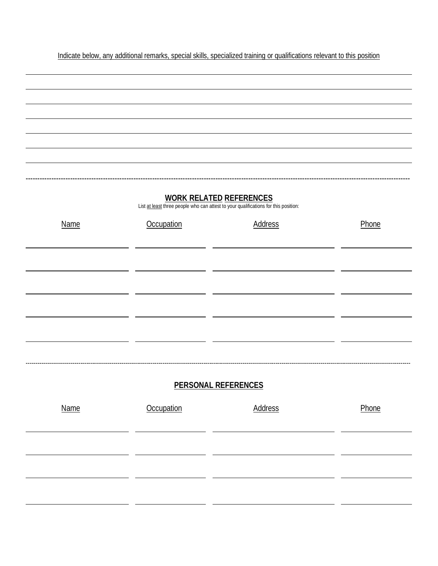Indicate below, any additional remarks, special skills, specialized training or qualifications relevant to this position

-------------------------------------------------------------------------------------------------------------------------------------------------------------------- **WORK RELATED REFERENCES** List at least three people who can attest to your qualifications for this position: Name **Occupation Constant Address Phone** ----------------------------------------------------------------------------------------------------------------------------------------------------------------------------------------------------- **PERSONAL REFERENCES** Name **Occupation Address Phone**